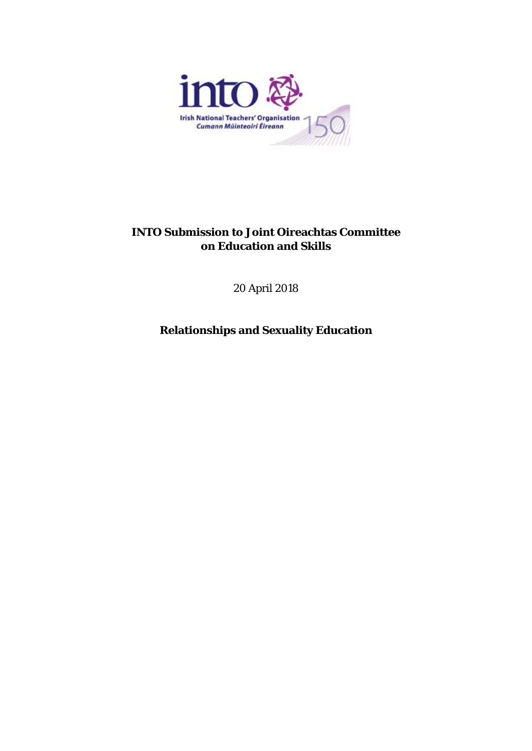

# **INTO Submission to Joint Oireachtas Committee on Education and Skills**

20 April 2018

**Relationships and Sexuality Education**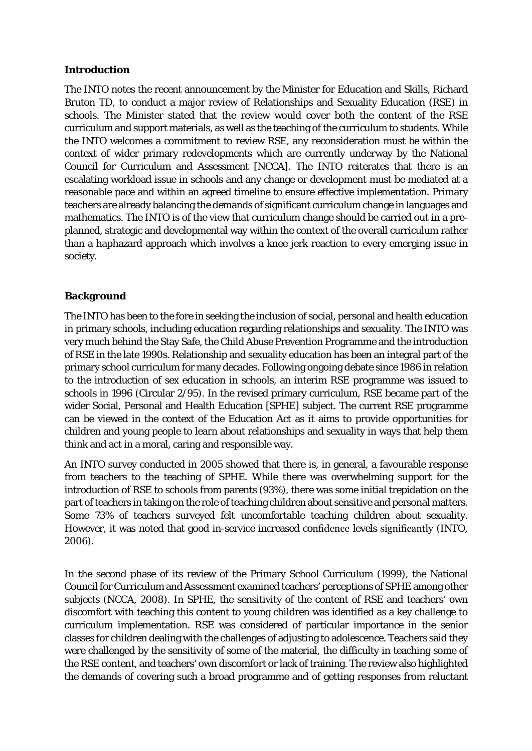## **Introduction**

The INTO notes the recent announcement by the Minister for Education and Skills, Richard Bruton TD, to conduct a major review of Relationships and Sexuality Education (RSE) in schools. The Minister stated that the review would cover both the content of the RSE curriculum and support materials, as well as the teaching of the curriculum to students. While the INTO welcomes a commitment to review RSE, any reconsideration must be within the context of wider primary redevelopments which are currently underway by the National Council for Curriculum and Assessment [NCCA]. The INTO reiterates that there is an escalating workload issue in schools and any change or development must be mediated at a reasonable pace and within an agreed timeline to ensure effective implementation. Primary teachers are already balancing the demands of significant curriculum change in languages and mathematics. The INTO is of the view that curriculum change should be carried out in a preplanned, strategic and developmental way within the context of the overall curriculum rather than a haphazard approach which involves a knee jerk reaction to every emerging issue in society.

## **Background**

The INTO has been to the fore in seeking the inclusion of social, personal and health education in primary schools, including education regarding relationships and sexuality. The INTO was very much behind the Stay Safe, the Child Abuse Prevention Programme and the introduction of RSE in the late 1990s. Relationship and sexuality education has been an integral part of the primary school curriculum for many decades. Following ongoing debate since 1986 in relation to the introduction of sex education in schools, an interim RSE programme was issued to schools in 1996 (Circular 2/95). In the revised primary curriculum, RSE became part of the wider Social, Personal and Health Education [SPHE] subject. The current RSE programme can be viewed in the context of the Education Act as it aims to provide opportunities for children and young people to learn about relationships and sexuality in ways that help them think and act in a moral, caring and responsible way.

An INTO survey conducted in 2005 showed that there is, in general, a favourable response from teachers to the teaching of SPHE. While there was overwhelming support for the introduction of RSE to schools from parents (93%), there was some initial trepidation on the part of teachers in taking on the role of teaching children about sensitive and personal matters. Some 73% of teachers surveyed felt uncomfortable teaching children about sexuality. However, it was noted that good in-service increased confidence levels significantly (INTO, 2006).

In the second phase of its review of the Primary School Curriculum (1999), the National Council for Curriculum and Assessment examined teachers' perceptions of SPHE among other subjects (NCCA, 2008). In SPHE, the sensitivity of the content of RSE and teachers' own discomfort with teaching this content to young children was identified as a key challenge to curriculum implementation. RSE was considered of particular importance in the senior classes for children dealing with the challenges of adjusting to adolescence. Teachers said they were challenged by the sensitivity of some of the material, the difficulty in teaching some of the RSE content, and teachers' own discomfort or lack of training. The review also highlighted the demands of covering such a broad programme and of getting responses from reluctant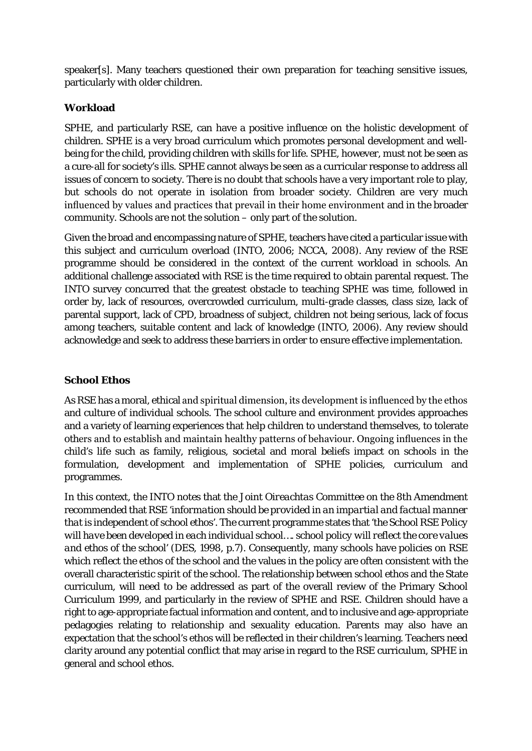speaker[s]. Many teachers questioned their own preparation for teaching sensitive issues, particularly with older children.

# **Workload**

SPHE, and particularly RSE, can have a positive influence on the holistic development of children. SPHE is a very broad curriculum which promotes personal development and wellbeing for the child, providing children with skills for life. SPHE, however, must not be seen as a cure-all for society's ills. SPHE cannot always be seen as a curricular response to address all issues of concern to society. There is no doubt that schools have a very important role to play, but schools do not operate in isolation from broader society. Children are very much influenced by values and practices that prevail in their home environment and in the broader community. Schools are not the solution – only part of the solution.

Given the broad and encompassing nature of SPHE, teachers have cited a particular issue with this subject and curriculum overload (INTO, 2006; NCCA, 2008). Any review of the RSE programme should be considered in the context of the current workload in schools. An additional challenge associated with RSE is the time required to obtain parental request. The INTO survey concurred that the greatest obstacle to teaching SPHE was time, followed in order by, lack of resources, overcrowded curriculum, multi-grade classes, class size, lack of parental support, lack of CPD, broadness of subject, children not being serious, lack of focus among teachers, suitable content and lack of knowledge (INTO, 2006). Any review should acknowledge and seek to address these barriers in order to ensure effective implementation.

# **School Ethos**

As RSE has a moral, ethical and spiritual dimension, its development is influenced by the ethos and culture of individual schools. The school culture and environment provides approaches and a variety of learning experiences that help children to understand themselves, to tolerate others and to establish and maintain healthy patterns of behaviour. Ongoing influences in the child's life such as family, religious, societal and moral beliefs impact on schools in the formulation, development and implementation of SPHE policies, curriculum and programmes.

In this context, the INTO notes that the *Joint Oireachtas Committee on the 8th Amendment* recommended that RSE '*information should be provided in an impartial and factual manner that is independent of school ethos'*. The current programme states that '*the School RSE Policy will have been developed in each individual school…. school policy will reflect the core values and ethos of the school'* (DES, 1998, p.7). Consequently, many schools have policies on RSE which reflect the ethos of the school and the values in the policy are often consistent with the overall characteristic spirit of the school. The relationship between school ethos and the State curriculum, will need to be addressed as part of the overall review of the Primary School Curriculum 1999, and particularly in the review of SPHE and RSE. Children should have a right to age-appropriate factual information and content, and to inclusive and age-appropriate pedagogies relating to relationship and sexuality education. Parents may also have an expectation that the school's ethos will be reflected in their children's learning. Teachers need clarity around any potential conflict that may arise in regard to the RSE curriculum, SPHE in general and school ethos.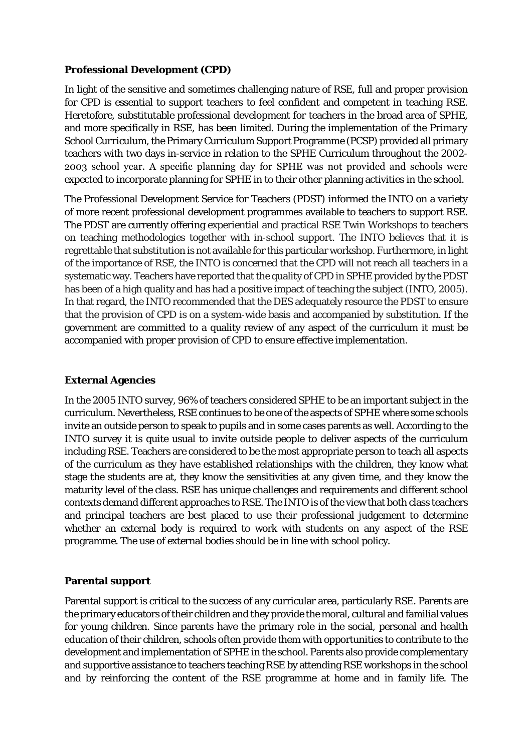## **Professional Development (CPD)**

In light of the sensitive and sometimes challenging nature of RSE, full and proper provision for CPD is essential to support teachers to feel confident and competent in teaching RSE. Heretofore, substitutable professional development for teachers in the broad area of SPHE, and more specifically in RSE, has been limited. During the implementation of the *Primary School Curriculum*, the Primary Curriculum Support Programme (PCSP) provided all primary teachers with two days in-service in relation to the SPHE Curriculum throughout the 2002- 2003 school year. A specific planning day for SPHE was not provided and schools were expected to incorporate planning for SPHE in to their other planning activities in the school.

The Professional Development Service for Teachers (PDST) informed the INTO on a variety of more recent professional development programmes available to teachers to support RSE. The PDST are currently offering experiential and practical RSE Twin Workshops to teachers on teaching methodologies together with in-school support. The INTO believes that it is regrettable that substitution is not available for this particular workshop. Furthermore, in light of the importance of RSE, the INTO is concerned that the CPD will not reach all teachers in a systematic way. Teachers have reported that the quality of CPD in SPHE provided by the PDST has been of a high quality and has had a positive impact of teaching the subject (INTO, 2005). In that regard, the INTO recommended that the DES adequately resource the PDST to ensure that the provision of CPD is on a system-wide basis and accompanied by substitution. If the government are committed to a quality review of any aspect of the curriculum it must be accompanied with proper provision of CPD to ensure effective implementation.

## **External Agencies**

In the 2005 INTO survey, 96% of teachers considered SPHE to be an important subject in the curriculum. Nevertheless, RSE continues to be one of the aspects of SPHE where some schools invite an outside person to speak to pupils and in some cases parents as well. According to the INTO survey it is quite usual to invite outside people to deliver aspects of the curriculum including RSE. Teachers are considered to be the most appropriate person to teach all aspects of the curriculum as they have established relationships with the children, they know what stage the students are at, they know the sensitivities at any given time, and they know the maturity level of the class. RSE has unique challenges and requirements and different school contexts demand different approaches to RSE. The INTO is of the view that both class teachers and principal teachers are best placed to use their professional judgement to determine whether an external body is required to work with students on any aspect of the RSE programme. The use of external bodies should be in line with school policy.

# **Parental support**

Parental support is critical to the success of any curricular area, particularly RSE. Parents are the primary educators of their children and they provide the moral, cultural and familial values for young children. Since parents have the primary role in the social, personal and health education of their children, schools often provide them with opportunities to contribute to the development and implementation of SPHE in the school. Parents also provide complementary and supportive assistance to teachers teaching RSE by attending RSE workshops in the school and by reinforcing the content of the RSE programme at home and in family life. The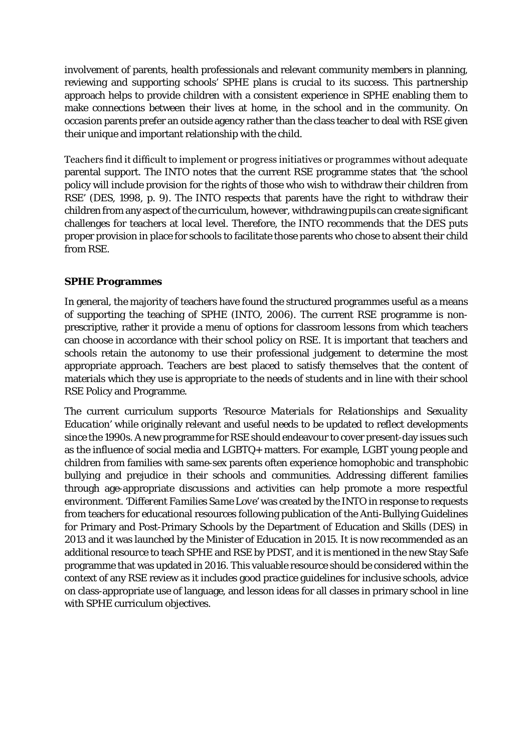involvement of parents, health professionals and relevant community members in planning, reviewing and supporting schools' SPHE plans is crucial to its success. This partnership approach helps to provide children with a consistent experience in SPHE enabling them to make connections between their lives at home, in the school and in the community. On occasion parents prefer an outside agency rather than the class teacher to deal with RSE given their unique and important relationship with the child.

Teachers find it difficult to implement or progress initiatives or programmes without adequate parental support. The INTO notes that the current RSE programme states that 'the school policy will include provision for the rights of those who wish to withdraw their children from RSE' (DES, 1998, p. 9). The INTO respects that parents have the right to withdraw their children from any aspect of the curriculum, however, withdrawing pupils can create significant challenges for teachers at local level. Therefore, the INTO recommends that the DES puts proper provision in place for schools to facilitate those parents who chose to absent their child from RSE.

## **SPHE Programmes**

In general, the majority of teachers have found the structured programmes useful as a means of supporting the teaching of SPHE (INTO, 2006). The current RSE programme is nonprescriptive, rather it provide a menu of options for classroom lessons from which teachers can choose in accordance with their school policy on RSE. It is important that teachers and schools retain the autonomy to use their professional judgement to determine the most appropriate approach. Teachers are best placed to satisfy themselves that the content of materials which they use is appropriate to the needs of students and in line with their school RSE Policy and Programme.

The current curriculum supports '*Resource Materials for Relationships and Sexuality Education'* while originally relevant and useful needs to be updated to reflect developments since the 1990s. A new programme for RSE should endeavour to cover present-day issues such as the influence of social media and LGBTQ+ matters. For example, LGBT young people and children from families with same-sex parents often experience homophobic and transphobic bullying and prejudice in their schools and communities. Addressing different families through age-appropriate discussions and activities can help promote a more respectful environment. '*Different Families Same Love'* was created by the INTO in response to requests from teachers for educational resources following publication of the Anti-Bullying Guidelines for Primary and Post-Primary Schools by the Department of Education and Skills (DES) in 2013 and it was launched by the Minister of Education in 2015. It is now recommended as an additional resource to teach SPHE and RSE by PDST, and it is mentioned in the new Stay Safe programme that was updated in 2016. This valuable resource should be considered within the context of any RSE review as it includes good practice guidelines for inclusive schools, advice on class-appropriate use of language, and lesson ideas for all classes in primary school in line with SPHE curriculum objectives.